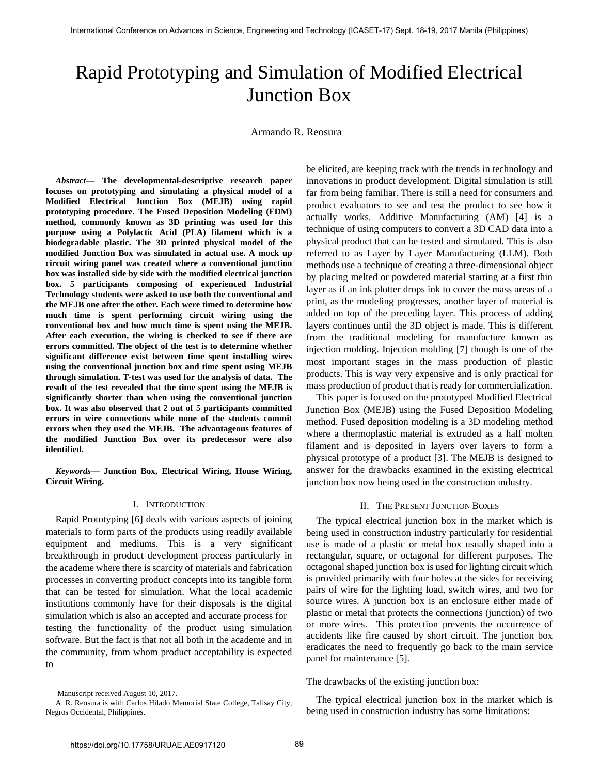# Rapid Prototyping and Simulation of Modified Electrical Junction Box

Armando R. Reosura

*Abstract***— The developmental-descriptive research paper focuses on prototyping and simulating a physical model of a Modified Electrical Junction Box (MEJB) using rapid prototyping procedure. The Fused Deposition Modeling (FDM) method, commonly known as 3D printing was used for this purpose using a Polylactic Acid (PLA) filament which is a biodegradable plastic. The 3D printed physical model of the modified Junction Box was simulated in actual use. A mock up circuit wiring panel was created where a conventional junction box was installed side by side with the modified electrical junction box. 5 participants composing of experienced Industrial Technology students were asked to use both the conventional and the MEJB one after the other. Each were timed to determine how much time is spent performing circuit wiring using the conventional box and how much time is spent using the MEJB. After each execution, the wiring is checked to see if there are errors committed. The object of the test is to determine whether significant difference exist between time spent installing wires using the conventional junction box and time spent using MEJB through simulation. T-test was used for the analysis of data. The result of the test revealed that the time spent using the MEJB is significantly shorter than when using the conventional junction box. It was also observed that 2 out of 5 participants committed errors in wire connections while none of the students commit errors when they used the MEJB. The advantageous features of the modified Junction Box over its predecessor were also identified.**

*Keywords***— Junction Box, Electrical Wiring, House Wiring, Circuit Wiring.**

## I. INTRODUCTION

Rapid Prototyping [6] deals with various aspects of joining materials to form parts of the products using readily available equipment and mediums. This is a very significant breakthrough in product development process particularly in the academe where there is scarcity of materials and fabrication processes in converting product concepts into its tangible form that can be tested for simulation. What the local academic institutions commonly have for their disposals is the digital simulation which is also an accepted and accurate process for testing the functionality of the product using simulation software. But the fact is that not all both in the academe and in the community, from whom product acceptability is expected to

be elicited, are keeping track with the trends in technology and innovations in product development. Digital simulation is still far from being familiar. There is still a need for consumers and product evaluators to see and test the product to see how it actually works. Additive Manufacturing (AM) [4] is a technique of using computers to convert a 3D CAD data into a physical product that can be tested and simulated. This is also referred to as Layer by Layer Manufacturing (LLM). Both methods use a technique of creating a three-dimensional object by placing melted or powdered material starting at a first thin layer as if an ink plotter drops ink to cover the mass areas of a print, as the modeling progresses, another layer of material is added on top of the preceding layer. This process of adding layers continues until the 3D object is made. This is different from the traditional modeling for manufacture known as injection molding. Injection molding [7] though is one of the most important stages in the mass production of plastic products. This is way very expensive and is only practical for mass production of product that is ready for commercialization.

This paper is focused on the prototyped Modified Electrical Junction Box (MEJB) using the Fused Deposition Modeling method. Fused deposition modeling is a 3D modeling method where a thermoplastic material is extruded as a half molten filament and is deposited in layers over layers to form a physical prototype of a product [3]. The MEJB is designed to answer for the drawbacks examined in the existing electrical junction box now being used in the construction industry.

#### II. THE PRESENT JUNCTION BOXES

The typical electrical junction box in the market which is being used in construction industry particularly for residential use is made of a plastic or metal box usually shaped into a rectangular, square, or octagonal for different purposes. The octagonal shaped junction box is used for lighting circuit which is provided primarily with four holes at the sides for receiving pairs of wire for the lighting load, switch wires, and two for source wires. A junction box is an enclosure either made of plastic or metal that protects the connections (junction) of two or more wires. This protection prevents the occurrence of accidents like fire caused by short circuit. The junction box eradicates the need to frequently go back to the main service panel for maintenance [5].

#### The drawbacks of the existing junction box:

The typical electrical junction box in the market which is being used in construction industry has some limitations:

Manuscript received August 10, 2017.

A. R. Reosura is with Carlos Hilado Memorial State College, Talisay City, Negros Occidental, Philippines.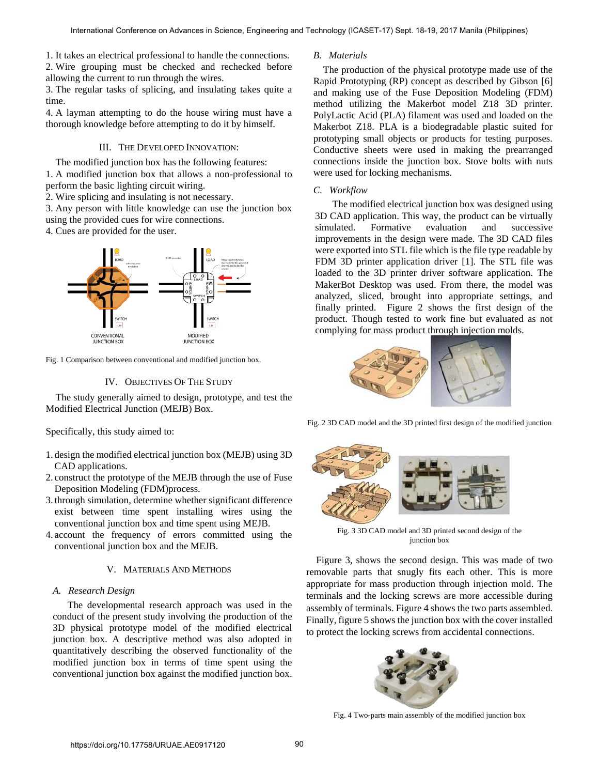1. It takes an electrical professional to handle the connections.

2. Wire grouping must be checked and rechecked before allowing the current to run through the wires.

3. The regular tasks of splicing, and insulating takes quite a time.

4. A layman attempting to do the house wiring must have a thorough knowledge before attempting to do it by himself.

#### III. THE DEVELOPED INNOVATION:

The modified junction box has the following features:

1. A modified junction box that allows a non-professional to perform the basic lighting circuit wiring.

2. Wire splicing and insulating is not necessary.

3. Any person with little knowledge can use the junction box using the provided cues for wire connections.

4. Cues are provided for the user.



Fig. 1 Comparison between conventional and modified junction box.

## IV. OBJECTIVES OF THE STUDY

The study generally aimed to design, prototype, and test the Modified Electrical Junction (MEJB) Box.

Specifically, this study aimed to:

- 1. design the modified electrical junction box (MEJB) using 3D CAD applications.
- 2. construct the prototype of the MEJB through the use of Fuse Deposition Modeling (FDM)process.
- 3. through simulation, determine whether significant difference exist between time spent installing wires using the conventional junction box and time spent using MEJB.
- 4. account the frequency of errors committed using the conventional junction box and the MEJB.

#### V. MATERIALS AND METHODS

# *A. Research Design*

 The developmental research approach was used in the conduct of the present study involving the production of the 3D physical prototype model of the modified electrical junction box. A descriptive method was also adopted in quantitatively describing the observed functionality of the modified junction box in terms of time spent using the conventional junction box against the modified junction box.

#### *B. Materials*

 The production of the physical prototype made use of the Rapid Prototyping (RP) concept as described by Gibson [6] and making use of the Fuse Deposition Modeling (FDM) method utilizing the Makerbot model Z18 3D printer. PolyLactic Acid (PLA) filament was used and loaded on the Makerbot Z18. PLA is a biodegradable plastic suited for prototyping small objects or products for testing purposes. Conductive sheets were used in making the prearranged connections inside the junction box. Stove bolts with nuts were used for locking mechanisms.

#### *C. Workflow*

 The modified electrical junction box was designed using 3D CAD application. This way, the product can be virtually simulated. Formative evaluation and successive improvements in the design were made. The 3D CAD files were exported into STL file which is the file type readable by FDM 3D printer application driver [1]. The STL file was loaded to the 3D printer driver software application. The MakerBot Desktop was used. From there, the model was analyzed, sliced, brought into appropriate settings, and finally printed. Figure 2 shows the first design of the product. Though tested to work fine but evaluated as not complying for mass product through injection molds.



Fig. 2 3D CAD model and the 3D printed first design of the modified junction



Fig. 3 3D CAD model and 3D printed second design of the junction box

Figure 3, shows the second design. This was made of two removable parts that snugly fits each other. This is more appropriate for mass production through injection mold. The terminals and the locking screws are more accessible during assembly of terminals. Figure 4 shows the two parts assembled. Finally, figure 5 shows the junction box with the cover installed to protect the locking screws from accidental connections.



Fig. 4 Two-parts main assembly of the modified junction box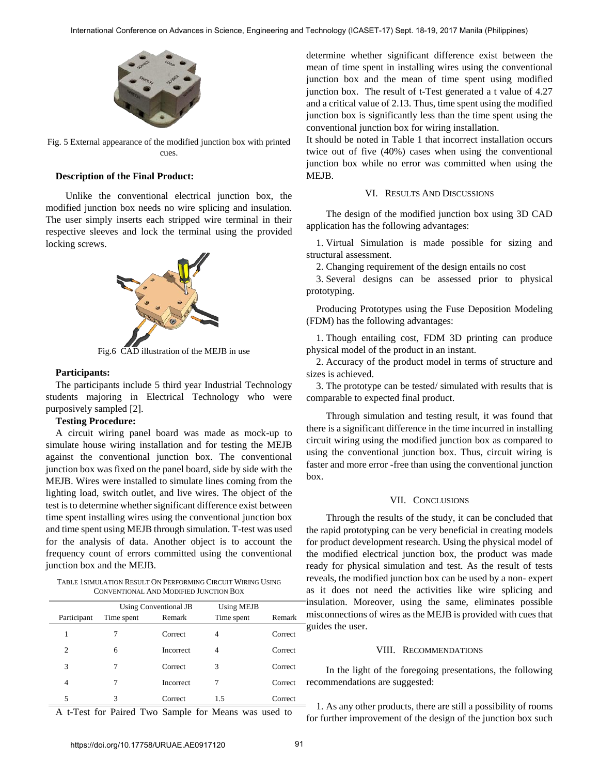

Fig. 5 External appearance of the modified junction box with printed cues.

#### **Description of the Final Product:**

Unlike the conventional electrical junction box, the modified junction box needs no wire splicing and insulation. The user simply inserts each stripped wire terminal in their respective sleeves and lock the terminal using the provided locking screws.



Fig.6  $\overline{CAD}$  illustration of the MEJB in use

#### **Participants:**

The participants include 5 third year Industrial Technology students majoring in Electrical Technology who were purposively sampled [2].

#### **Testing Procedure:**

A circuit wiring panel board was made as mock-up to simulate house wiring installation and for testing the MEJB against the conventional junction box. The conventional junction box was fixed on the panel board, side by side with the MEJB. Wires were installed to simulate lines coming from the lighting load, switch outlet, and live wires. The object of the test is to determine whether significant difference exist between time spent installing wires using the conventional junction box and time spent using MEJB through simulation. T-test was used for the analysis of data. Another object is to account the frequency count of errors committed using the conventional junction box and the MEJB.

TABLE 1SIMULATION RESULT ON PERFORMING CIRCUIT WIRING USING CONVENTIONAL AND MODIFIED JUNCTION BOX

|                | <b>Using Conventional JB</b> |                  | <b>Using MEJB</b> |         |
|----------------|------------------------------|------------------|-------------------|---------|
| Participant    | Time spent                   | Remark           | Time spent        | Remark  |
|                |                              | Correct          | 4                 | Correct |
| $\overline{c}$ | 6                            | <b>Incorrect</b> | 4                 | Correct |
| 3              | 7                            | Correct          | 3                 | Correct |
| 4              |                              | <b>Incorrect</b> | 7                 | Correct |
| 5              | 3                            | Correct          | 1.5               | Correct |

A t-Test for Paired Two Sample for Means was used to

determine whether significant difference exist between the mean of time spent in installing wires using the conventional junction box and the mean of time spent using modified junction box. The result of t-Test generated a t value of 4.27 and a critical value of 2.13. Thus, time spent using the modified junction box is significantly less than the time spent using the conventional junction box for wiring installation.

It should be noted in Table 1 that incorrect installation occurs twice out of five (40%) cases when using the conventional junction box while no error was committed when using the MEJB.

#### VI. RESULTS AND DISCUSSIONS

The design of the modified junction box using 3D CAD application has the following advantages:

1. Virtual Simulation is made possible for sizing and structural assessment.

2. Changing requirement of the design entails no cost

3. Several designs can be assessed prior to physical prototyping.

Producing Prototypes using the Fuse Deposition Modeling (FDM) has the following advantages:

1. Though entailing cost, FDM 3D printing can produce physical model of the product in an instant.

2. Accuracy of the product model in terms of structure and sizes is achieved.

3. The prototype can be tested/ simulated with results that is comparable to expected final product.

Through simulation and testing result, it was found that there is a significant difference in the time incurred in installing circuit wiring using the modified junction box as compared to using the conventional junction box. Thus, circuit wiring is faster and more error -free than using the conventional junction box.

#### VII. CONCLUSIONS

Through the results of the study, it can be concluded that the rapid prototyping can be very beneficial in creating models for product development research. Using the physical model of the modified electrical junction box, the product was made ready for physical simulation and test. As the result of tests reveals, the modified junction box can be used by a non- expert as it does not need the activities like wire splicing and insulation. Moreover, using the same, eliminates possible misconnections of wires as the MEJB is provided with cues that guides the user.

#### VIII. RECOMMENDATIONS

In the light of the foregoing presentations, the following recommendations are suggested:

1. As any other products, there are still a possibility of rooms for further improvement of the design of the junction box such